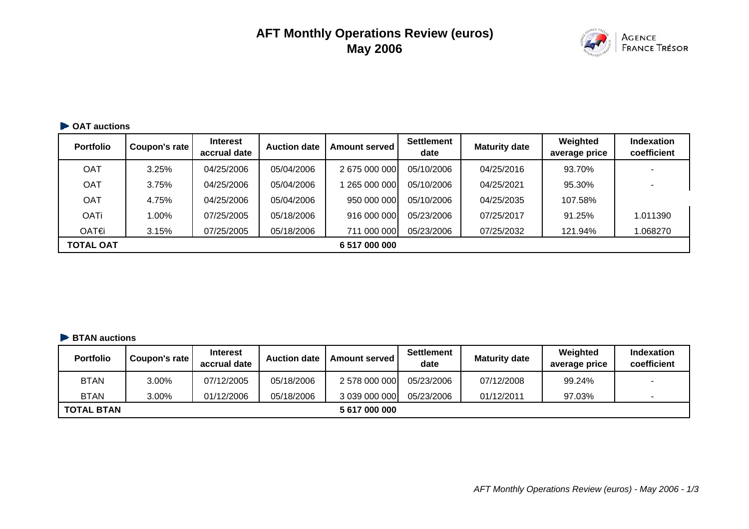# **AFT Monthly Operations Review (euros) May 2006**



# **CAT auctions**

| <b>Portfolio</b> | Coupon's rate | <b>Interest</b><br>accrual date | <b>Auction date</b> | <b>Amount served</b> | <b>Settlement</b><br>date | <b>Maturity date</b> | Weighted<br>average price | <b>Indexation</b><br>coefficient |
|------------------|---------------|---------------------------------|---------------------|----------------------|---------------------------|----------------------|---------------------------|----------------------------------|
| OAT              | 3.25%         | 04/25/2006                      | 05/04/2006          | 2675000000           | 05/10/2006                | 04/25/2016           | 93.70%                    |                                  |
| <b>OAT</b>       | 3.75%         | 04/25/2006                      | 05/04/2006          | 265 000 000          | 05/10/2006                | 04/25/2021           | 95.30%                    |                                  |
| <b>OAT</b>       | 4.75%         | 04/25/2006                      | 05/04/2006          | 950 000 000          | 05/10/2006                | 04/25/2035           | 107.58%                   |                                  |
| <b>OATi</b>      | 1.00%         | 07/25/2005                      | 05/18/2006          | 916 000 000          | 05/23/2006                | 07/25/2017           | 91.25%                    | 1.011390                         |
| OAT€             | 3.15%         | 07/25/2005                      | 05/18/2006          | 711 000 000          | 05/23/2006                | 07/25/2032           | 121.94%                   | 1.068270                         |
| <b>TOTAL OAT</b> |               |                                 |                     | 6 517 000 000        |                           |                      |                           |                                  |

#### **BTAN auctions**

| <b>Portfolio</b>  | Coupon's rate | <b>Interest</b><br>accrual date | <b>Auction date</b> | <b>Amount served</b> | Settlement<br>date | <b>Maturity date</b> | Weighted<br>average price | <b>Indexation</b><br>coefficient |
|-------------------|---------------|---------------------------------|---------------------|----------------------|--------------------|----------------------|---------------------------|----------------------------------|
| <b>BTAN</b>       | 3.00%         | 07/12/2005                      | 05/18/2006          | 2 578 000 000        | 05/23/2006         | 07/12/2008           | 99.24%                    | . .                              |
| <b>BTAN</b>       | 3.00%         | 01/12/2006                      | 05/18/2006          | 3 039 000 000        | 05/23/2006         | 01/12/2011           | 97.03%                    | $\overline{\phantom{a}}$         |
| <b>TOTAL BTAN</b> |               |                                 |                     | 5 617 000 000        |                    |                      |                           |                                  |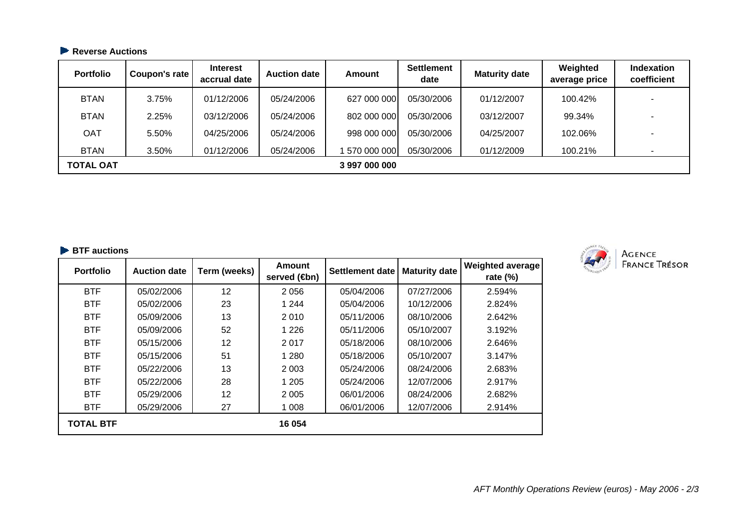# **Reverse Auctions**

| <b>Portfolio</b> | Coupon's rate | <b>Interest</b><br>accrual date | <b>Auction date</b> | Amount        | <b>Settlement</b><br>date | <b>Maturity date</b> | Weighted<br>average price | <b>Indexation</b><br>coefficient |
|------------------|---------------|---------------------------------|---------------------|---------------|---------------------------|----------------------|---------------------------|----------------------------------|
| <b>BTAN</b>      | 3.75%         | 01/12/2006                      | 05/24/2006          | 627 000 000   | 05/30/2006                | 01/12/2007           | 100.42%                   |                                  |
| <b>BTAN</b>      | 2.25%         | 03/12/2006                      | 05/24/2006          | 802 000 000   | 05/30/2006                | 03/12/2007           | 99.34%                    |                                  |
| <b>OAT</b>       | 5.50%         | 04/25/2006                      | 05/24/2006          | 998 000 000   | 05/30/2006                | 04/25/2007           | 102.06%                   | -                                |
| <b>BTAN</b>      | 3.50%         | 01/12/2006                      | 05/24/2006          | 570 000 000   | 05/30/2006                | 01/12/2009           | 100.21%                   |                                  |
| <b>TOTAL OAT</b> |               |                                 |                     | 3 997 000 000 |                           |                      |                           |                                  |

#### **BTF auctions**

| <b>Portfolio</b> | <b>Auction date</b> | Term (weeks) | Amount<br>served ( <b>⊕</b> n) | <b>Settlement date</b> | <b>Maturity date</b> | <b>Weighted average</b><br>rate $(\%)$ |
|------------------|---------------------|--------------|--------------------------------|------------------------|----------------------|----------------------------------------|
| <b>BTF</b>       | 05/02/2006          | 12           | 2056                           | 05/04/2006             | 07/27/2006           | 2.594%                                 |
| <b>BTF</b>       | 05/02/2006          | 23           | 1 2 4 4                        | 05/04/2006             | 10/12/2006           | 2.824%                                 |
| <b>BTF</b>       | 05/09/2006          | 13           | 2010                           | 05/11/2006             | 08/10/2006           | 2.642%                                 |
| <b>BTF</b>       | 05/09/2006          | 52           | 1 2 2 6                        | 05/11/2006             | 05/10/2007           | 3.192%                                 |
| <b>BTF</b>       | 05/15/2006          | 12           | 2017                           | 05/18/2006             | 08/10/2006           | 2.646%                                 |
| <b>BTF</b>       | 05/15/2006          | 51           | 1 2 8 0                        | 05/18/2006             | 05/10/2007           | 3.147%                                 |
| <b>BTF</b>       | 05/22/2006          | 13           | 2 0 0 3                        | 05/24/2006             | 08/24/2006           | 2.683%                                 |
| <b>BTF</b>       | 05/22/2006          | 28           | 1 2 0 5                        | 05/24/2006             | 12/07/2006           | 2.917%                                 |
| <b>BTF</b>       | 05/29/2006          | 12           | 2 0 0 5                        | 06/01/2006             | 08/24/2006           | 2.682%                                 |
| <b>BTF</b>       | 05/29/2006          | 27           | 1 0 0 8                        | 06/01/2006             | 12/07/2006           | 2.914%                                 |
| <b>TOTAL BTF</b> |                     |              | 16 054                         |                        |                      |                                        |